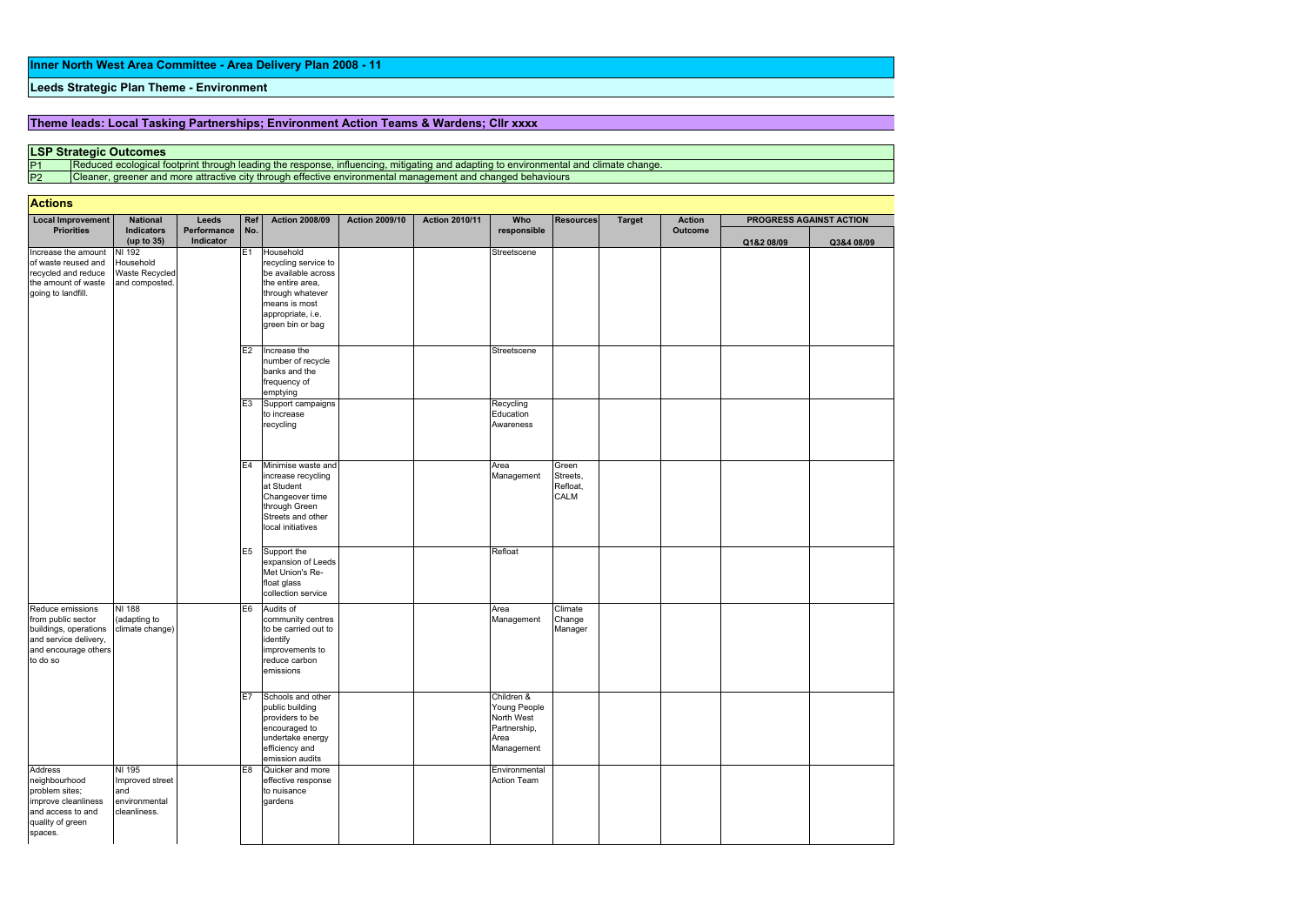Theme leads: Local Tasking Partnerships; Environment Action Teams & Wardens; Cllr xxxx

P2 Cleaner, greener and more attractive city through effective environmental management and changed behaviours

## **Actions**

P1 Reduced ecological footprint through leading the response, influencing, mitigating and adapting to environmental and climate change.

| <b>Local Improvement</b><br><b>Priorities</b>                                                                                | <b>National</b><br>Indicators<br>(up to 35)                       | Leeds<br>Performance<br>Indicator | Ref<br>No.           | <b>Action 2008/09</b>                                                                                                                                      | <b>Action 2009/10</b> | <b>Action 2010/11</b> | Who<br>responsible                                                             | <b>Resources</b>                             | <b>Target</b> | <b>Action</b><br><b>Outcome</b> | PROGRESS AGAINST ACTION |            |
|------------------------------------------------------------------------------------------------------------------------------|-------------------------------------------------------------------|-----------------------------------|----------------------|------------------------------------------------------------------------------------------------------------------------------------------------------------|-----------------------|-----------------------|--------------------------------------------------------------------------------|----------------------------------------------|---------------|---------------------------------|-------------------------|------------|
|                                                                                                                              |                                                                   |                                   |                      |                                                                                                                                                            |                       |                       |                                                                                |                                              |               |                                 | Q1&2 08/09              | Q3&4 08/09 |
| Increase the amount<br>of waste reused and<br>recycled and reduce<br>the amount of waste<br>going to landfill.               | NI 192<br>Household<br>Waste Recycled<br>and composted.           |                                   | E1                   | Household<br>recycling service to<br>be available across<br>the entire area,<br>through whatever<br>means is most<br>appropriate, i.e.<br>green bin or bag |                       |                       | Streetscene                                                                    |                                              |               |                                 |                         |            |
|                                                                                                                              |                                                                   |                                   | E2<br>E <sub>3</sub> | Increase the<br>number of recycle<br>banks and the<br>frequency of<br>emptying<br>Support campaigns<br>to increase                                         |                       |                       | Streetscene<br>Recycling<br>Education                                          |                                              |               |                                 |                         |            |
|                                                                                                                              |                                                                   |                                   |                      | recycling                                                                                                                                                  |                       |                       | Awareness                                                                      |                                              |               |                                 |                         |            |
|                                                                                                                              |                                                                   |                                   | E <sub>4</sub>       | Minimise waste and<br>increase recycling<br>at Student<br>Changeover time<br>through Green<br>Streets and other<br>local initiatives                       |                       |                       | Area<br>Management                                                             | Green<br>Streets,<br>Refloat,<br><b>CALM</b> |               |                                 |                         |            |
|                                                                                                                              |                                                                   |                                   | E <sub>5</sub>       | Support the<br>expansion of Leeds<br>Met Union's Re-<br>float glass<br>collection service                                                                  |                       |                       | Refloat                                                                        |                                              |               |                                 |                         |            |
| Reduce emissions<br>from public sector<br>buildings, operations<br>and service delivery,<br>and encourage others<br>to do so | NI 188<br>(adapting to<br>climate change)                         |                                   | E <sub>6</sub>       | Audits of<br>community centres<br>to be carried out to<br>identify<br>improvements to<br>reduce carbon<br>emissions                                        |                       |                       | Area<br>Management                                                             | Climate<br>Change<br>Manager                 |               |                                 |                         |            |
|                                                                                                                              |                                                                   |                                   | E7                   | Schools and other<br>public building<br>providers to be<br>encouraged to<br>undertake energy<br>efficiency and<br>emission audits                          |                       |                       | Children &<br>Young People<br>North West<br>Partnership,<br>Area<br>Management |                                              |               |                                 |                         |            |
| <b>Address</b><br>neighbourhood<br>problem sites;<br>improve cleanliness<br>and access to and<br>quality of green<br>spaces. | NI 195<br>Improved street<br>and<br>environmental<br>cleanliness. |                                   | E <sub>8</sub>       | Quicker and more<br>effective response<br>to nuisance<br>gardens                                                                                           |                       |                       | Environmental<br>Action Team                                                   |                                              |               |                                 |                         |            |

## Leeds Strategic Plan Theme - Environment

## LSP Strategic Outcomes